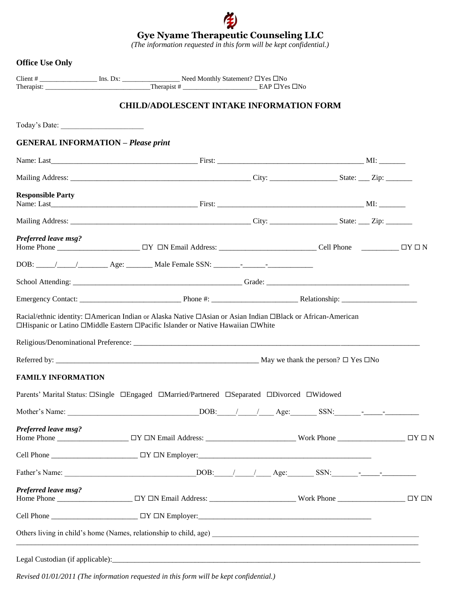**Gye Nyame Therapeutic Counseling LLC**

*(The information requested in this form will be kept confidential.)*

# **Office Use Only**

|                                           | <b>CHILD/ADOLESCENT INTAKE INFORMATION FORM</b>                                                                                                                                                |                                                                                     |  |  |
|-------------------------------------------|------------------------------------------------------------------------------------------------------------------------------------------------------------------------------------------------|-------------------------------------------------------------------------------------|--|--|
| Today's Date:                             |                                                                                                                                                                                                |                                                                                     |  |  |
| <b>GENERAL INFORMATION - Please print</b> |                                                                                                                                                                                                |                                                                                     |  |  |
|                                           |                                                                                                                                                                                                |                                                                                     |  |  |
|                                           |                                                                                                                                                                                                |                                                                                     |  |  |
| <b>Responsible Party</b>                  |                                                                                                                                                                                                |                                                                                     |  |  |
|                                           |                                                                                                                                                                                                |                                                                                     |  |  |
| Preferred leave msg?                      |                                                                                                                                                                                                |                                                                                     |  |  |
|                                           |                                                                                                                                                                                                |                                                                                     |  |  |
|                                           |                                                                                                                                                                                                |                                                                                     |  |  |
|                                           |                                                                                                                                                                                                |                                                                                     |  |  |
|                                           | Racial/ethnic identity: □American Indian or Alaska Native □Asian or Asian Indian □Black or African-American<br>□Hispanic or Latino □Middle Eastern □Pacific Islander or Native Hawaiian □White |                                                                                     |  |  |
|                                           |                                                                                                                                                                                                |                                                                                     |  |  |
|                                           |                                                                                                                                                                                                |                                                                                     |  |  |
| <b>FAMILY INFORMATION</b>                 |                                                                                                                                                                                                |                                                                                     |  |  |
|                                           | Parents' Marital Status: □Single □Engaged □Married/Partnered □Separated □Divorced □Widowed                                                                                                     |                                                                                     |  |  |
|                                           |                                                                                                                                                                                                | $\begin{array}{c c} \text{DOB:} & \text{/} & \text{/} \text{Age:} \end{array}$ SSN: |  |  |
| Preferred leave msg?                      |                                                                                                                                                                                                |                                                                                     |  |  |
|                                           |                                                                                                                                                                                                |                                                                                     |  |  |
|                                           |                                                                                                                                                                                                |                                                                                     |  |  |
| Preferred leave msg?                      |                                                                                                                                                                                                |                                                                                     |  |  |
|                                           |                                                                                                                                                                                                |                                                                                     |  |  |
|                                           |                                                                                                                                                                                                |                                                                                     |  |  |
|                                           |                                                                                                                                                                                                |                                                                                     |  |  |

*Revised 01/01/2011 (The information requested in this form will be kept confidential.)*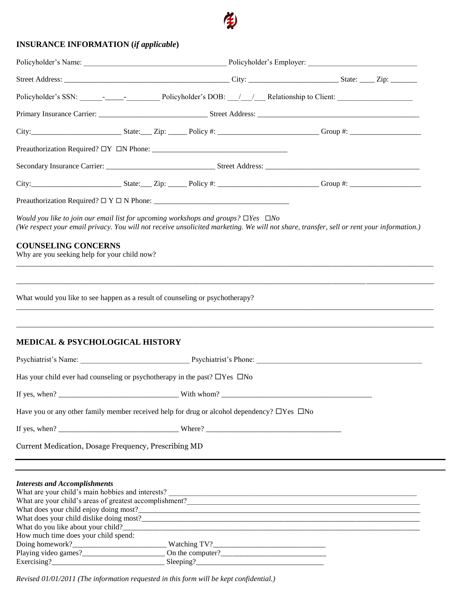

# **INSURANCE INFORMATION (***if applicable***)**

| Preauthorization Required? $\Box Y$ $\Box N$ Phone: ___________________________________                                     |  |                                                                                                                                                                                                                                 |  |  |
|-----------------------------------------------------------------------------------------------------------------------------|--|---------------------------------------------------------------------------------------------------------------------------------------------------------------------------------------------------------------------------------|--|--|
|                                                                                                                             |  |                                                                                                                                                                                                                                 |  |  |
|                                                                                                                             |  |                                                                                                                                                                                                                                 |  |  |
|                                                                                                                             |  |                                                                                                                                                                                                                                 |  |  |
| Would you like to join our email list for upcoming workshops and groups? $\square Yes \ \square No$                         |  | (We respect your email privacy. You will not receive unsolicited marketing. We will not share, transfer, sell or rent your information.)                                                                                        |  |  |
| <b>COUNSELING CONCERNS</b><br>Why are you seeking help for your child now?                                                  |  |                                                                                                                                                                                                                                 |  |  |
| What would you like to see happen as a result of counseling or psychotherapy?<br><b>MEDICAL &amp; PSYCHOLOGICAL HISTORY</b> |  |                                                                                                                                                                                                                                 |  |  |
|                                                                                                                             |  | Psychiatrist's Name: Psychiatrist's Phone: Psychiatrist's Phone:                                                                                                                                                                |  |  |
| Has your child ever had counseling or psychotherapy in the past? $\Box$ Yes $\Box$ No                                       |  |                                                                                                                                                                                                                                 |  |  |
|                                                                                                                             |  |                                                                                                                                                                                                                                 |  |  |
| Have you or any other family member received help for drug or alcohol dependency? $\Box$ Yes $\Box$ No                      |  |                                                                                                                                                                                                                                 |  |  |
|                                                                                                                             |  |                                                                                                                                                                                                                                 |  |  |
| Current Medication, Dosage Frequency, Prescribing MD                                                                        |  |                                                                                                                                                                                                                                 |  |  |
|                                                                                                                             |  |                                                                                                                                                                                                                                 |  |  |
| <b>Interests and Accomplishments</b>                                                                                        |  | What are your child's areas of greatest accomplishment?<br>The matter of the contract of the same state of the same state of the same state of the same state of the same state of the same state of the same state of the same |  |  |
| How much time does your child spend:                                                                                        |  |                                                                                                                                                                                                                                 |  |  |
|                                                                                                                             |  |                                                                                                                                                                                                                                 |  |  |
|                                                                                                                             |  |                                                                                                                                                                                                                                 |  |  |

*Revised 01/01/2011 (The information requested in this form will be kept confidential.)*